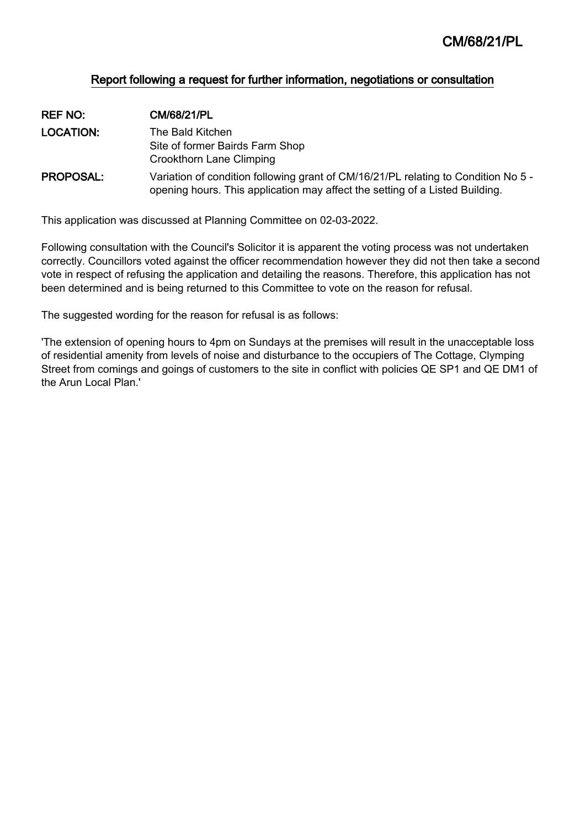## Report following a request for further information, negotiations or consultation

| <b>REF NO:</b>   | CM/68/21/PL                                                                                                                                                        |
|------------------|--------------------------------------------------------------------------------------------------------------------------------------------------------------------|
| <b>LOCATION:</b> | The Bald Kitchen.                                                                                                                                                  |
|                  | Site of former Bairds Farm Shop                                                                                                                                    |
|                  | <b>Crookthorn Lane Climping</b>                                                                                                                                    |
| <b>PROPOSAL:</b> | Variation of condition following grant of CM/16/21/PL relating to Condition No 5 -<br>opening hours. This application may affect the setting of a Listed Building. |

This application was discussed at Planning Committee on 02-03-2022.

Following consultation with the Council's Solicitor it is apparent the voting process was not undertaken correctly. Councillors voted against the officer recommendation however they did not then take a second vote in respect of refusing the application and detailing the reasons. Therefore, this application has not been determined and is being returned to this Committee to vote on the reason for refusal.

The suggested wording for the reason for refusal is as follows:

'The extension of opening hours to 4pm on Sundays at the premises will result in the unacceptable loss of residential amenity from levels of noise and disturbance to the occupiers of The Cottage, Clymping Street from comings and goings of customers to the site in conflict with policies QE SP1 and QE DM1 of the Arun Local Plan.'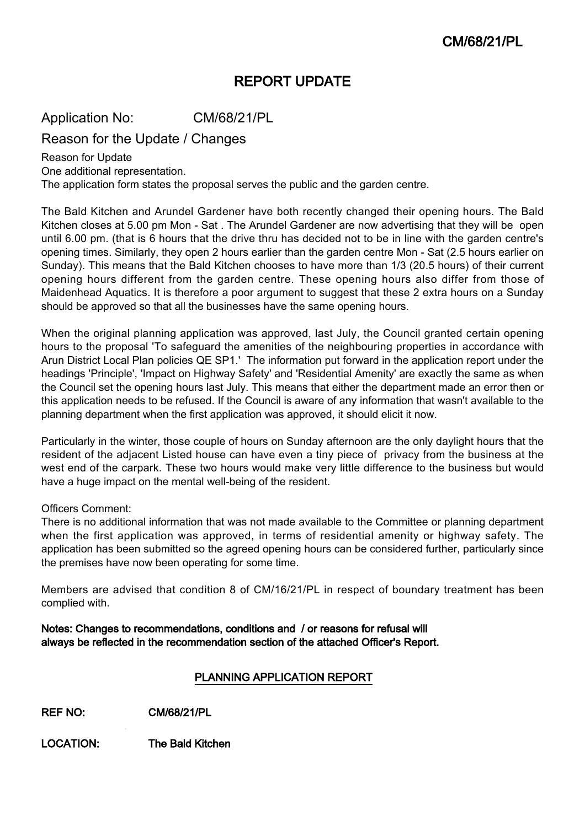# REPORT UPDATE

Application No: CM/68/21/PL

Reason for the Update / Changes

Reason for Update One additional representation.

The application form states the proposal serves the public and the garden centre.

The Bald Kitchen and Arundel Gardener have both recently changed their opening hours. The Bald Kitchen closes at 5.00 pm Mon - Sat . The Arundel Gardener are now advertising that they will be open until 6.00 pm. (that is 6 hours that the drive thru has decided not to be in line with the garden centre's opening times. Similarly, they open 2 hours earlier than the garden centre Mon - Sat (2.5 hours earlier on Sunday). This means that the Bald Kitchen chooses to have more than 1/3 (20.5 hours) of their current opening hours different from the garden centre. These opening hours also differ from those of Maidenhead Aquatics. It is therefore a poor argument to suggest that these 2 extra hours on a Sunday should be approved so that all the businesses have the same opening hours.

When the original planning application was approved, last July, the Council granted certain opening hours to the proposal 'To safeguard the amenities of the neighbouring properties in accordance with Arun District Local Plan policies QE SP1.' The information put forward in the application report under the headings 'Principle', 'Impact on Highway Safety' and 'Residential Amenity' are exactly the same as when the Council set the opening hours last July. This means that either the department made an error then or this application needs to be refused. If the Council is aware of any information that wasn't available to the planning department when the first application was approved, it should elicit it now.

Particularly in the winter, those couple of hours on Sunday afternoon are the only daylight hours that the resident of the adjacent Listed house can have even a tiny piece of privacy from the business at the west end of the carpark. These two hours would make very little difference to the business but would have a huge impact on the mental well-being of the resident.

## Officers Comment:

There is no additional information that was not made available to the Committee or planning department when the first application was approved, in terms of residential amenity or highway safety. The application has been submitted so the agreed opening hours can be considered further, particularly since the premises have now been operating for some time.

Members are advised that condition 8 of CM/16/21/PL in respect of boundary treatment has been complied with.

Notes: Changes to recommendations, conditions and / or reasons for refusal will always be reflected in the recommendation section of the attached Officer's Report.

## PLANNING APPLICATION REPORT

REF NO: CM/68/21/PL

LOCATION: The Bald Kitchen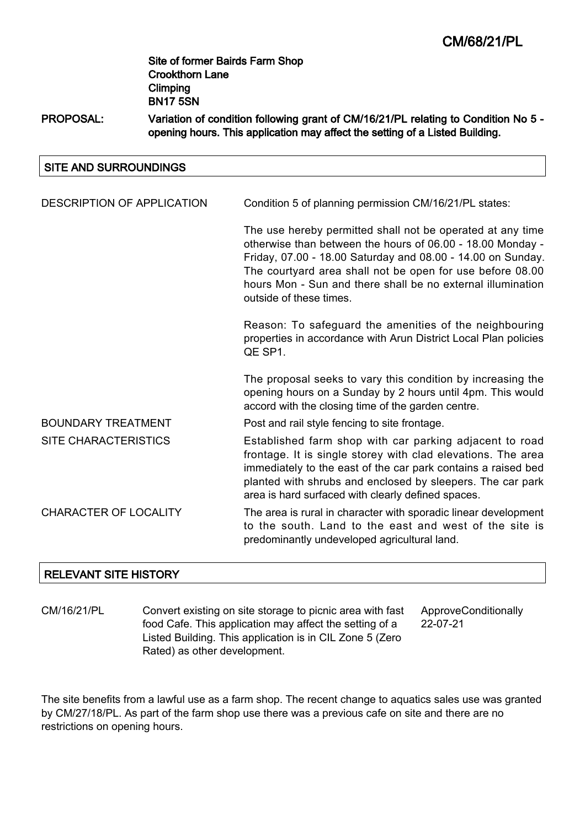## PROPOSAL: Variation of condition following grant of CM/16/21/PL relating to Condition No 5 opening hours. This application may affect the setting of a Listed Building.

#### SITE AND SURROUNDINGS

| DESCRIPTION OF APPLICATION   | Condition 5 of planning permission CM/16/21/PL states:                                                                                                                                                                                                                                                                                         |
|------------------------------|------------------------------------------------------------------------------------------------------------------------------------------------------------------------------------------------------------------------------------------------------------------------------------------------------------------------------------------------|
|                              | The use hereby permitted shall not be operated at any time<br>otherwise than between the hours of 06.00 - 18.00 Monday -<br>Friday, 07.00 - 18.00 Saturday and 08.00 - 14.00 on Sunday.<br>The courtyard area shall not be open for use before 08.00<br>hours Mon - Sun and there shall be no external illumination<br>outside of these times. |
|                              | Reason: To safeguard the amenities of the neighbouring<br>properties in accordance with Arun District Local Plan policies<br>QE SP1.                                                                                                                                                                                                           |
|                              | The proposal seeks to vary this condition by increasing the<br>opening hours on a Sunday by 2 hours until 4pm. This would<br>accord with the closing time of the garden centre.                                                                                                                                                                |
| <b>BOUNDARY TREATMENT</b>    | Post and rail style fencing to site frontage.                                                                                                                                                                                                                                                                                                  |
| <b>SITE CHARACTERISTICS</b>  | Established farm shop with car parking adjacent to road<br>frontage. It is single storey with clad elevations. The area<br>immediately to the east of the car park contains a raised bed<br>planted with shrubs and enclosed by sleepers. The car park<br>area is hard surfaced with clearly defined spaces.                                   |
| <b>CHARACTER OF LOCALITY</b> | The area is rural in character with sporadic linear development<br>to the south. Land to the east and west of the site is<br>predominantly undeveloped agricultural land.                                                                                                                                                                      |

## RELEVANT SITE HISTORY

CM/16/21/PL Convert existing on site storage to picnic area with fast food Cafe. This application may affect the setting of a Listed Building. This application is in CIL Zone 5 (Zero Rated) as other development. ApproveConditionally 22-07-21

The site benefits from a lawful use as a farm shop. The recent change to aquatics sales use was granted by CM/27/18/PL. As part of the farm shop use there was a previous cafe on site and there are no restrictions on opening hours.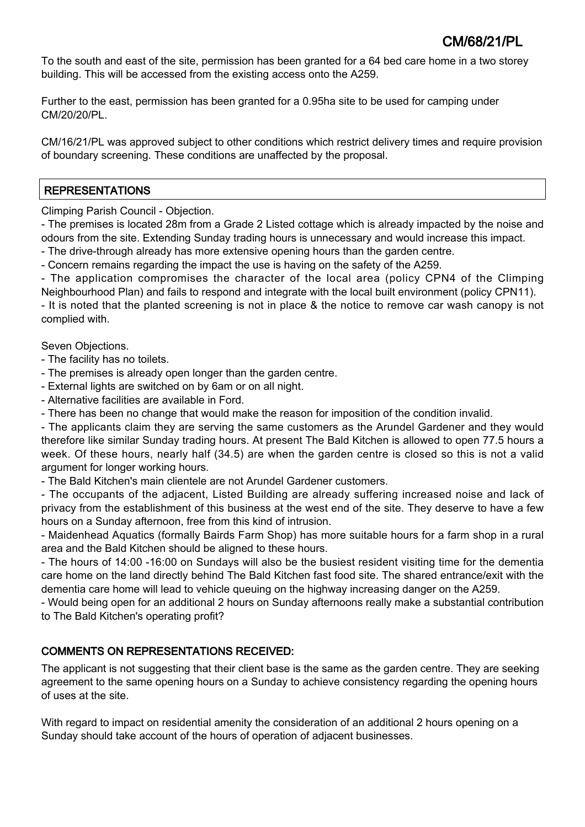To the south and east of the site, permission has been granted for a 64 bed care home in a two storey building. This will be accessed from the existing access onto the A259.

Further to the east, permission has been granted for a 0.95ha site to be used for camping under CM/20/20/PL.

CM/16/21/PL was approved subject to other conditions which restrict delivery times and require provision of boundary screening. These conditions are unaffected by the proposal.

## REPRESENTATIONS

Climping Parish Council - Objection.

- The premises is located 28m from a Grade 2 Listed cottage which is already impacted by the noise and odours from the site. Extending Sunday trading hours is unnecessary and would increase this impact.

- The drive-through already has more extensive opening hours than the garden centre.

- Concern remains regarding the impact the use is having on the safety of the A259.

- The application compromises the character of the local area (policy CPN4 of the Climping Neighbourhood Plan) and fails to respond and integrate with the local built environment (policy CPN11).

- It is noted that the planted screening is not in place & the notice to remove car wash canopy is not complied with.

Seven Objections.

- The facility has no toilets.

- The premises is already open longer than the garden centre.
- External lights are switched on by 6am or on all night.
- Alternative facilities are available in Ford.
- There has been no change that would make the reason for imposition of the condition invalid.

- The applicants claim they are serving the same customers as the Arundel Gardener and they would therefore like similar Sunday trading hours. At present The Bald Kitchen is allowed to open 77.5 hours a week. Of these hours, nearly half (34.5) are when the garden centre is closed so this is not a valid argument for longer working hours.

- The Bald Kitchen's main clientele are not Arundel Gardener customers.

- The occupants of the adjacent, Listed Building are already suffering increased noise and lack of privacy from the establishment of this business at the west end of the site. They deserve to have a few hours on a Sunday afternoon, free from this kind of intrusion.

- Maidenhead Aquatics (formally Bairds Farm Shop) has more suitable hours for a farm shop in a rural area and the Bald Kitchen should be aligned to these hours.

- The hours of 14:00 -16:00 on Sundays will also be the busiest resident visiting time for the dementia care home on the land directly behind The Bald Kitchen fast food site. The shared entrance/exit with the dementia care home will lead to vehicle queuing on the highway increasing danger on the A259.

- Would being open for an additional 2 hours on Sunday afternoons really make a substantial contribution to The Bald Kitchen's operating profit?

## COMMENTS ON REPRESENTATIONS RECEIVED:

The applicant is not suggesting that their client base is the same as the garden centre. They are seeking agreement to the same opening hours on a Sunday to achieve consistency regarding the opening hours of uses at the site.

With regard to impact on residential amenity the consideration of an additional 2 hours opening on a Sunday should take account of the hours of operation of adjacent businesses.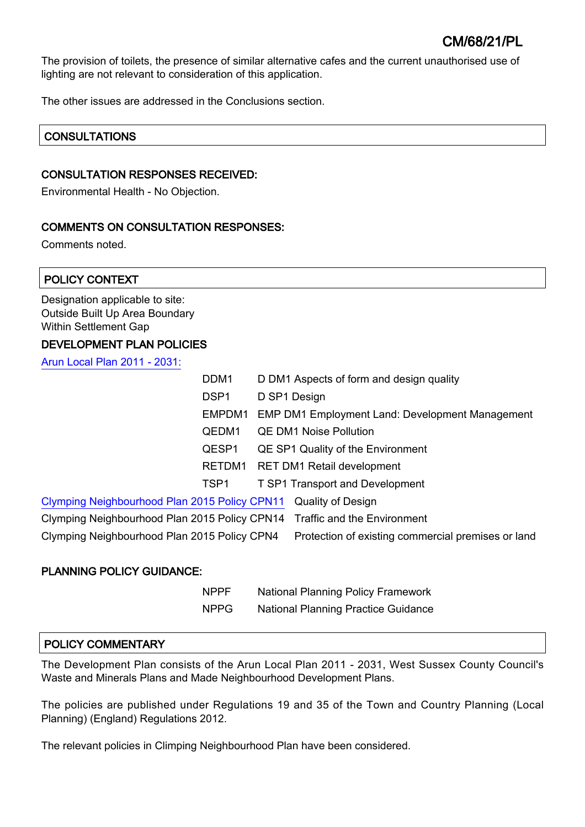The provision of toilets, the presence of similar alternative cafes and the current unauthorised use of lighting are not relevant to consideration of this application.

The other issues are addressed in the Conclusions section.

## **CONSULTATIONS**

#### CONSULTATION RESPONSES RECEIVED:

Environmental Health - No Objection.

## COMMENTS ON CONSULTATION RESPONSES:

Comments noted.

| POLICY CONTEXT                                                                                    |                  |                                                    |                                                        |  |
|---------------------------------------------------------------------------------------------------|------------------|----------------------------------------------------|--------------------------------------------------------|--|
| Designation applicable to site:<br>Outside Built Up Area Boundary<br><b>Within Settlement Gap</b> |                  |                                                    |                                                        |  |
| <b>DEVELOPMENT PLAN POLICIES</b>                                                                  |                  |                                                    |                                                        |  |
| Arun Local Plan 2011 - 2031:                                                                      |                  |                                                    |                                                        |  |
|                                                                                                   | DDM <sub>1</sub> |                                                    | D DM1 Aspects of form and design quality               |  |
|                                                                                                   | DSP <sub>1</sub> |                                                    | D SP1 Design                                           |  |
|                                                                                                   | EMPDM1           |                                                    | <b>EMP DM1 Employment Land: Development Management</b> |  |
|                                                                                                   | QEDM1            | <b>QE DM1 Noise Pollution</b>                      |                                                        |  |
|                                                                                                   | QESP1            | QE SP1 Quality of the Environment                  |                                                        |  |
|                                                                                                   | RETDM1           | <b>RET DM1 Retail development</b>                  |                                                        |  |
|                                                                                                   | TSP1             |                                                    | T SP1 Transport and Development                        |  |
| Clymping Neighbourhood Plan 2015 Policy CPN11                                                     |                  |                                                    | <b>Quality of Design</b>                               |  |
| Clymping Neighbourhood Plan 2015 Policy CPN14 Traffic and the Environment                         |                  |                                                    |                                                        |  |
| Clymping Neighbourhood Plan 2015 Policy CPN4                                                      |                  | Protection of existing commercial premises or land |                                                        |  |

### PLANNING POLICY GUIDANCE:

| <b>NPPF</b> | <b>National Planning Policy Framework</b>  |
|-------------|--------------------------------------------|
| <b>NPPG</b> | <b>National Planning Practice Guidance</b> |

### POLICY COMMENTARY

The Development Plan consists of the Arun Local Plan 2011 - 2031, West Sussex County Council's Waste and Minerals Plans and Made Neighbourhood Development Plans.

The policies are published under Regulations 19 and 35 of the Town and Country Planning (Local Planning) (England) Regulations 2012.

The relevant policies in Climping Neighbourhood Plan have been considered.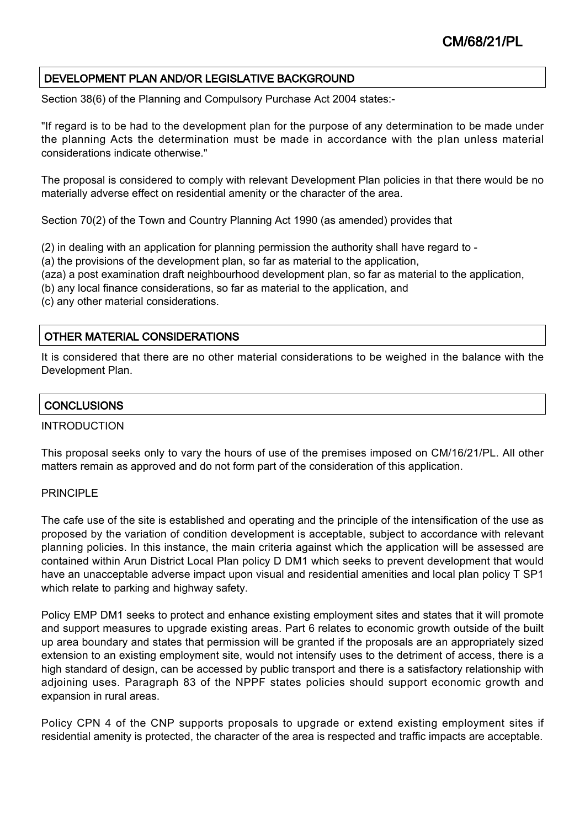## DEVELOPMENT PLAN AND/OR LEGISLATIVE BACKGROUND

Section 38(6) of the Planning and Compulsory Purchase Act 2004 states:-

"If regard is to be had to the development plan for the purpose of any determination to be made under the planning Acts the determination must be made in accordance with the plan unless material considerations indicate otherwise."

The proposal is considered to comply with relevant Development Plan policies in that there would be no materially adverse effect on residential amenity or the character of the area.

Section 70(2) of the Town and Country Planning Act 1990 (as amended) provides that

(2) in dealing with an application for planning permission the authority shall have regard to -

(a) the provisions of the development plan, so far as material to the application,

(aza) a post examination draft neighbourhood development plan, so far as material to the application,

(b) any local finance considerations, so far as material to the application, and

(c) any other material considerations.

## OTHER MATERIAL CONSIDERATIONS

It is considered that there are no other material considerations to be weighed in the balance with the Development Plan.

## **CONCLUSIONS**

## INTRODUCTION

This proposal seeks only to vary the hours of use of the premises imposed on CM/16/21/PL. All other matters remain as approved and do not form part of the consideration of this application.

### PRINCIPLE

The cafe use of the site is established and operating and the principle of the intensification of the use as proposed by the variation of condition development is acceptable, subject to accordance with relevant planning policies. In this instance, the main criteria against which the application will be assessed are contained within Arun District Local Plan policy D DM1 which seeks to prevent development that would have an unacceptable adverse impact upon visual and residential amenities and local plan policy T SP1 which relate to parking and highway safety.

Policy EMP DM1 seeks to protect and enhance existing employment sites and states that it will promote and support measures to upgrade existing areas. Part 6 relates to economic growth outside of the built up area boundary and states that permission will be granted if the proposals are an appropriately sized extension to an existing employment site, would not intensify uses to the detriment of access, there is a high standard of design, can be accessed by public transport and there is a satisfactory relationship with adjoining uses. Paragraph 83 of the NPPF states policies should support economic growth and expansion in rural areas.

Policy CPN 4 of the CNP supports proposals to upgrade or extend existing employment sites if residential amenity is protected, the character of the area is respected and traffic impacts are acceptable.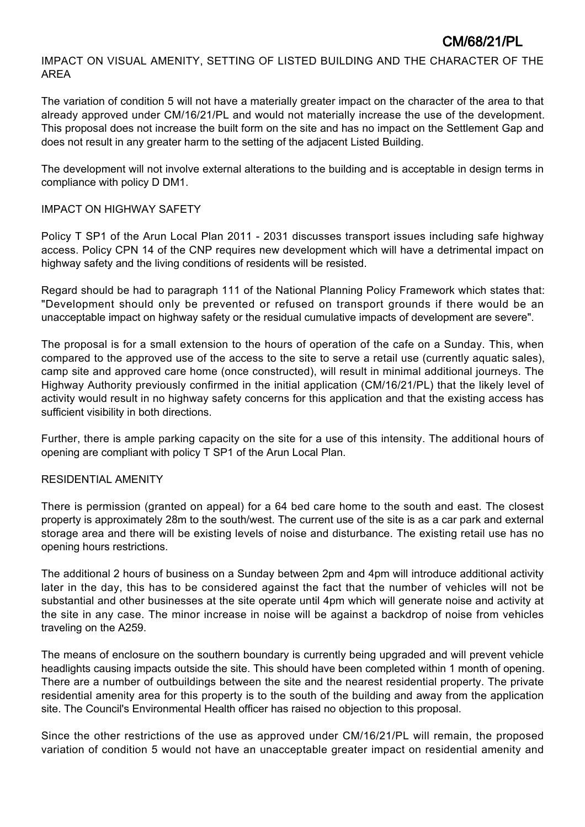IMPACT ON VISUAL AMENITY, SETTING OF LISTED BUILDING AND THE CHARACTER OF THE AREA

The variation of condition 5 will not have a materially greater impact on the character of the area to that already approved under CM/16/21/PL and would not materially increase the use of the development. This proposal does not increase the built form on the site and has no impact on the Settlement Gap and does not result in any greater harm to the setting of the adjacent Listed Building.

The development will not involve external alterations to the building and is acceptable in design terms in compliance with policy D DM1.

## IMPACT ON HIGHWAY SAFETY

Policy T SP1 of the Arun Local Plan 2011 - 2031 discusses transport issues including safe highway access. Policy CPN 14 of the CNP requires new development which will have a detrimental impact on highway safety and the living conditions of residents will be resisted.

Regard should be had to paragraph 111 of the National Planning Policy Framework which states that: "Development should only be prevented or refused on transport grounds if there would be an unacceptable impact on highway safety or the residual cumulative impacts of development are severe".

The proposal is for a small extension to the hours of operation of the cafe on a Sunday. This, when compared to the approved use of the access to the site to serve a retail use (currently aquatic sales), camp site and approved care home (once constructed), will result in minimal additional journeys. The Highway Authority previously confirmed in the initial application (CM/16/21/PL) that the likely level of activity would result in no highway safety concerns for this application and that the existing access has sufficient visibility in both directions.

Further, there is ample parking capacity on the site for a use of this intensity. The additional hours of opening are compliant with policy T SP1 of the Arun Local Plan.

## RESIDENTIAL AMENITY

There is permission (granted on appeal) for a 64 bed care home to the south and east. The closest property is approximately 28m to the south/west. The current use of the site is as a car park and external storage area and there will be existing levels of noise and disturbance. The existing retail use has no opening hours restrictions.

The additional 2 hours of business on a Sunday between 2pm and 4pm will introduce additional activity later in the day, this has to be considered against the fact that the number of vehicles will not be substantial and other businesses at the site operate until 4pm which will generate noise and activity at the site in any case. The minor increase in noise will be against a backdrop of noise from vehicles traveling on the A259.

The means of enclosure on the southern boundary is currently being upgraded and will prevent vehicle headlights causing impacts outside the site. This should have been completed within 1 month of opening. There are a number of outbuildings between the site and the nearest residential property. The private residential amenity area for this property is to the south of the building and away from the application site. The Council's Environmental Health officer has raised no objection to this proposal.

Since the other restrictions of the use as approved under CM/16/21/PL will remain, the proposed variation of condition 5 would not have an unacceptable greater impact on residential amenity and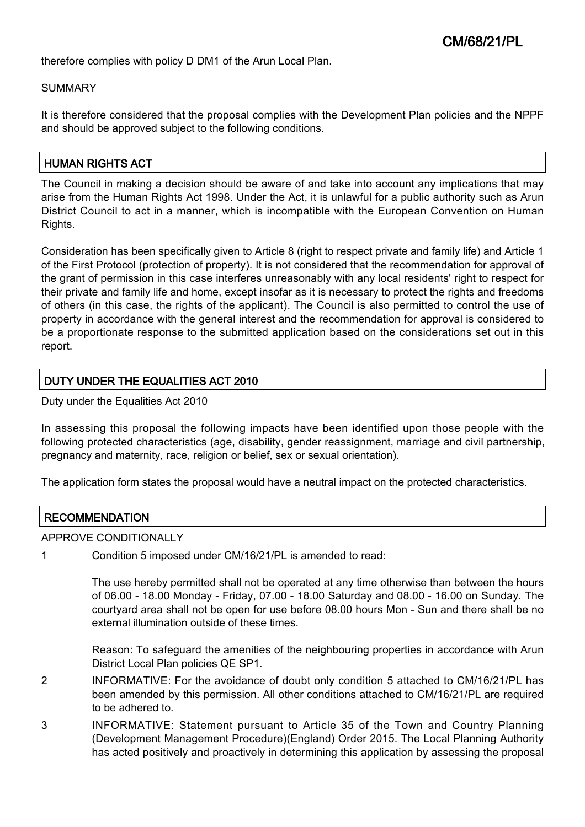therefore complies with policy D DM1 of the Arun Local Plan.

#### SUMMARY

It is therefore considered that the proposal complies with the Development Plan policies and the NPPF and should be approved subject to the following conditions.

## HUMAN RIGHTS ACT

The Council in making a decision should be aware of and take into account any implications that may arise from the Human Rights Act 1998. Under the Act, it is unlawful for a public authority such as Arun District Council to act in a manner, which is incompatible with the European Convention on Human Rights.

Consideration has been specifically given to Article 8 (right to respect private and family life) and Article 1 of the First Protocol (protection of property). It is not considered that the recommendation for approval of the grant of permission in this case interferes unreasonably with any local residents' right to respect for their private and family life and home, except insofar as it is necessary to protect the rights and freedoms of others (in this case, the rights of the applicant). The Council is also permitted to control the use of property in accordance with the general interest and the recommendation for approval is considered to be a proportionate response to the submitted application based on the considerations set out in this report.

## DUTY UNDER THE EQUALITIES ACT 2010

Duty under the Equalities Act 2010

In assessing this proposal the following impacts have been identified upon those people with the following protected characteristics (age, disability, gender reassignment, marriage and civil partnership, pregnancy and maternity, race, religion or belief, sex or sexual orientation).

The application form states the proposal would have a neutral impact on the protected characteristics.

## **RECOMMENDATION**

#### APPROVE CONDITIONALLY

1 Condition 5 imposed under CM/16/21/PL is amended to read:

The use hereby permitted shall not be operated at any time otherwise than between the hours of 06.00 - 18.00 Monday - Friday, 07.00 - 18.00 Saturday and 08.00 - 16.00 on Sunday. The courtyard area shall not be open for use before 08.00 hours Mon - Sun and there shall be no external illumination outside of these times.

Reason: To safeguard the amenities of the neighbouring properties in accordance with Arun District Local Plan policies QE SP1.

- 2 INFORMATIVE: For the avoidance of doubt only condition 5 attached to CM/16/21/PL has been amended by this permission. All other conditions attached to CM/16/21/PL are required to be adhered to.
- 3 INFORMATIVE: Statement pursuant to Article 35 of the Town and Country Planning (Development Management Procedure)(England) Order 2015. The Local Planning Authority has acted positively and proactively in determining this application by assessing the proposal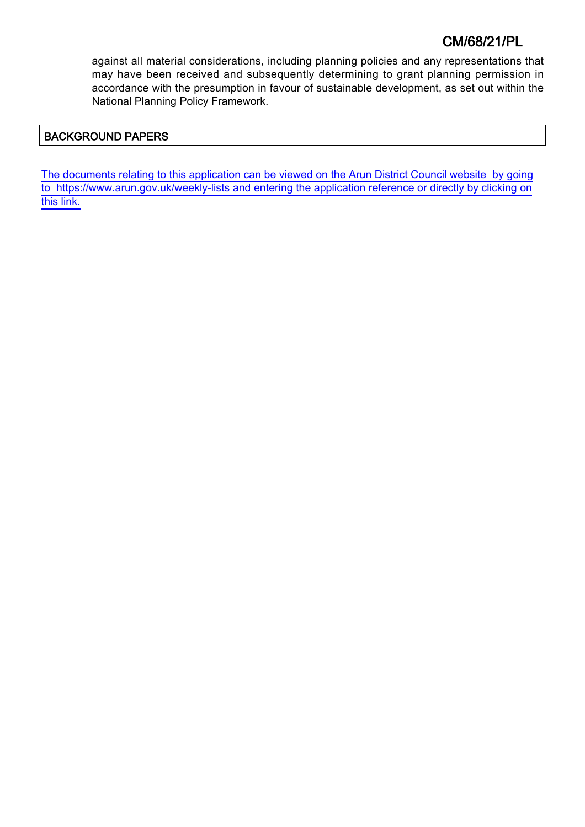# CM/68/21/PL

against all material considerations, including planning policies and any representations that may have been received and subsequently determining to grant planning permission in accordance with the presumption in favour of sustainable development, as set out within the National Planning Policy Framework.

## BACKGROUND PAPERS

[The documents relating to this application can be viewed on the Arun District Council website by going](http://www1.arun.gov.uk/planrec/index.cfm?tpkey=eOcella&user_key_1=CM/68/21/PL&keyscheme=planning) [to https://www.arun.gov.uk/weekly-lists and entering the application reference or directly by clicking on](http://www1.arun.gov.uk/planrec/index.cfm?tpkey=eOcella&user_key_1=CM/68/21/PL&keyscheme=planning) [this link.](http://www1.arun.gov.uk/planrec/index.cfm?tpkey=eOcella&user_key_1=CM/68/21/PL&keyscheme=planning)